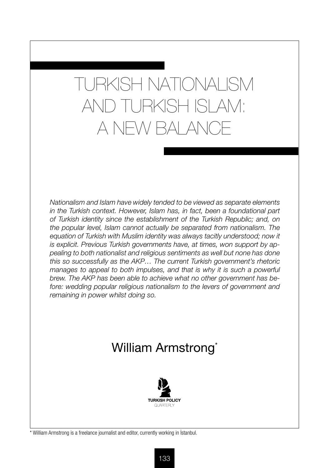# TURKISH NATIONALISM AND TURKISH ISLAM: A NEW BALANCE

*Nationalism and Islam have widely tended to be viewed as separate elements in the Turkish context. However, Islam has, in fact, been a foundational part of Turkish identity since the establishment of the Turkish Republic; and, on the popular level, Islam cannot actually be separated from nationalism. The*  equation of Turkish with Muslim identity was always tacitly understood; now it *is explicit. Previous Turkish governments have, at times, won support by appealing to both nationalist and religious sentiments as well but none has done this so successfully as the AKP… The current Turkish government's rhetoric*  manages to appeal to both impulses, and that is why it is such a powerful *brew. The AKP has been able to achieve what no other government has be*fore: wedding popular religious nationalism to the levers of government and *remaining in power whilst doing so.*

# William Armstrong<sup>\*</sup>



\* William Armstrong is a freelance journalist and editor, currently working in İstanbul.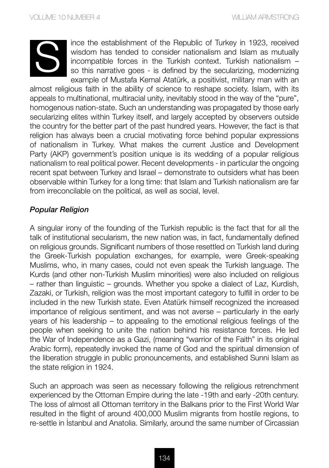

ince the establishment of the Republic of Turkey in 1923, received wisdom has tended to consider nationalism and Islam as mutually incompatible forces in the Turkish context. Turkish nationalism – so this narrative goes - is defined by the secularizing, modernizing example of Mustafa Kemal Atatürk, a positivist, military man with an

almost religious faith in the ability of science to reshape society. Islam, with its appeals to multinational, multiracial unity, inevitably stood in the way of the "pure", homogenous nation-state. Such an understanding was propagated by those early secularizing elites within Turkey itself, and largely accepted by observers outside the country for the better part of the past hundred years. However, the fact is that religion has always been a crucial motivating force behind popular expressions of nationalism in Turkey. What makes the current Justice and Development Party (AKP) government's position unique is its wedding of a popular religious nationalism to real political power. Recent developments - in particular the ongoing recent spat between Turkey and Israel – demonstrate to outsiders what has been observable within Turkey for a long time: that Islam and Turkish nationalism are far from irreconcilable on the political, as well as social, level.

#### *Popular Religion*

A singular irony of the founding of the Turkish republic is the fact that for all the talk of institutional secularism, the new nation was, in fact, fundamentally defined on religious grounds. Significant numbers of those resettled on Turkish land during the Greek-Turkish population exchanges, for example, were Greek-speaking Muslims, who, in many cases, could not even speak the Turkish language. The Kurds (and other non-Turkish Muslim minorities) were also included on religious – rather than linguistic – grounds. Whether you spoke a dialect of Laz, Kurdish, Zazaki, or Turkish, religion was the most important category to fulfill in order to be included in the new Turkish state. Even Atatürk himself recognized the increased importance of religious sentiment, and was not averse – particularly in the early years of his leadership – to appealing to the emotional religious feelings of the people when seeking to unite the nation behind his resistance forces. He led the War of Independence as a Gazi, (meaning "warrior of the Faith" in its original Arabic form), repeatedly invoked the name of God and the spiritual dimension of the liberation struggle in public pronouncements, and established Sunni Islam as the state religion in 1924.

Such an approach was seen as necessary following the religious retrenchment experienced by the Ottoman Empire during the late -19th and early -20th century. The loss of almost all Ottoman territory in the Balkans prior to the First World War resulted in the flight of around 400,000 Muslim migrants from hostile regions, to re-settle in İstanbul and Anatolia. Similarly, around the same number of Circassian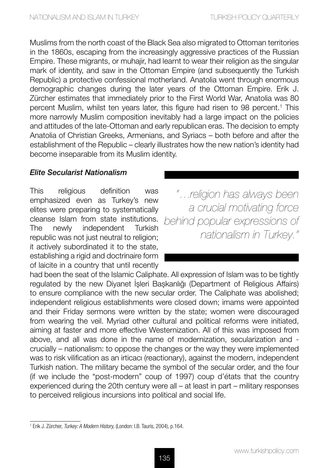Muslims from the north coast of the Black Sea also migrated to Ottoman territories in the 1860s, escaping from the increasingly aggressive practices of the Russian Empire. These migrants, or muhajir, had learnt to wear their religion as the singular mark of identity, and saw in the Ottoman Empire (and subsequently the Turkish Republic) a protective confessional motherland. Anatolia went through enormous demographic changes during the later years of the Ottoman Empire. Erik J. Zürcher estimates that immediately prior to the First World War, Anatolia was 80 percent Muslim, whilst ten years later, this figure had risen to 98 percent.<sup>1</sup> This more narrowly Muslim composition inevitably had a large impact on the policies and attitudes of the late-Ottoman and early republican eras. The decision to empty Anatolia of Christian Greeks, Armenians, and Syriacs – both before and after the establishment of the Republic – clearly illustrates how the new nation's identity had become inseparable from its Muslim identity.

#### *Elite Secularist Nationalism*

This religious definition was emphasized even as Turkey's new elites were preparing to systematically cleanse Islam from state institutions. The newly independent Turkish republic was not just neutral to religion; it actively subordinated it to the state, establishing a rigid and doctrinaire form of laicite in a country that until recently

*"…religion has always been a crucial motivating force behind popular expressions of nationalism in Turkey."* 

had been the seat of the Islamic Caliphate. All expression of Islam was to be tightly regulated by the new Diyanet İşleri Başkanlığı (Department of Religious Affairs) to ensure compliance with the new secular order. The Caliphate was abolished; independent religious establishments were closed down; imams were appointed and their Friday sermons were written by the state; women were discouraged from wearing the veil. Myriad other cultural and political reforms were initiated, aiming at faster and more effective Westernization. All of this was imposed from above, and all was done in the name of modernization, secularization and crucially – nationalism: to oppose the changes or the way they were implemented was to risk vilification as an irticacı (reactionary), against the modern, independent Turkish nation. The military became the symbol of the secular order, and the four (if we include the "post-modern" coup of 1997) coup d'états that the country experienced during the 20th century were all – at least in part – military responses to perceived religious incursions into political and social life.

<sup>1</sup> Erik J. Zürcher, *Turkey: A Modern History,* (London: I.B. Tauris, 2004), p.164.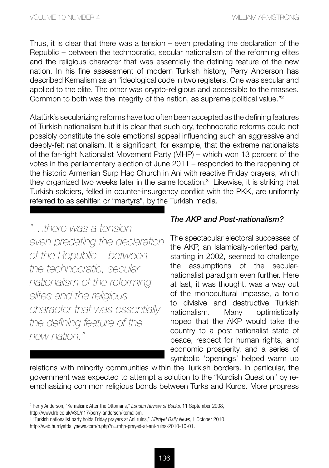Thus, it is clear that there was a tension – even predating the declaration of the Republic – between the technocratic, secular nationalism of the reforming elites and the religious character that was essentially the defining feature of the new nation. In his fine assessment of modern Turkish history, Perry Anderson has described Kemalism as an "ideological code in two registers. One was secular and applied to the elite. The other was crypto-religious and accessible to the masses. Common to both was the integrity of the nation, as supreme political value."2

Atatürk's secularizing reforms have too often been accepted as the defining features of Turkish nationalism but it is clear that such dry, technocratic reforms could not possibly constitute the sole emotional appeal influencing such an aggressive and deeply-felt nationalism. It is significant, for example, that the extreme nationalists of the far-right Nationalist Movement Party (MHP) – which won 13 percent of the votes in the parliamentary election of June 2011 – responded to the reopening of the historic Armenian Surp Haç Church in Ani with reactive Friday prayers, which they organized two weeks later in the same location.<sup>3</sup> Likewise, it is striking that Turkish soldiers, felled in counter-insurgency conflict with the PKK, are uniformly referred to as şehitler, or "martyrs", by the Turkish media.

*"…there was a tension – even predating the declaration of the Republic – between the technocratic, secular nationalism of the reforming elites and the religious character that was essentially the defining feature of the new nation."* 

# *The AKP and Post-nationalism?*

The spectacular electoral successes of the AKP, an Islamically-oriented party, starting in 2002, seemed to challenge the assumptions of the secularnationalist paradigm even further. Here at last, it was thought, was a way out of the monocultural impasse, a tonic to divisive and destructive Turkish nationalism. Many optimistically hoped that the AKP would take the country to a post-nationalist state of peace, respect for human rights, and economic prosperity, and a series of symbolic 'openings' helped warm up

relations with minority communities within the Turkish borders. In particular, the government was expected to attempt a solution to the "Kurdish Question" by reemphasizing common religious bonds between Turks and Kurds. More progress

<sup>2</sup> Perry Anderson, "Kemalism: After the Ottomans," *London Review of Books,* 11 September 2008, http://www.lrb.co.uk/v30/n17/perry-anderson/kemalism.

<sup>3</sup> "Turkish nationalist party holds Friday prayers at Ani ruins," *Hürriyet Daily News,* 1 October 2010, http://web.hurriyetdailynews.com/n.php?n=mhp-prayed-at-ani-ruins-2010-10-01.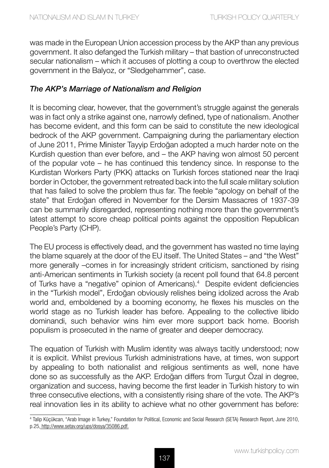was made in the European Union accession process by the AKP than any previous government. It also defanged the Turkish military – that bastion of unreconstructed secular nationalism – which it accuses of plotting a coup to overthrow the elected government in the Balyoz, or "Sledgehammer", case.

### *The AKP's Marriage of Nationalism and Religion*

It is becoming clear, however, that the government's struggle against the generals was in fact only a strike against one, narrowly defined, type of nationalism. Another has become evident, and this form can be said to constitute the new ideological bedrock of the AKP government. Campaigning during the parliamentary election of June 2011, Prime Minister Tayyip Erdoğan adopted a much harder note on the Kurdish question than ever before, and – the AKP having won almost 50 percent of the popular vote – he has continued this tendency since. In response to the Kurdistan Workers Party (PKK) attacks on Turkish forces stationed near the Iraqi border in October, the government retreated back into the full scale military solution that has failed to solve the problem thus far. The feeble "apology on behalf of the state" that Erdoğan offered in November for the Dersim Massacres of 1937-39 can be summarily disregarded, representing nothing more than the government's latest attempt to score cheap political points against the opposition Republican People's Party (CHP).

The EU process is effectively dead, and the government has wasted no time laying the blame squarely at the door of the EU itself. The United States – and "the West" more generally –comes in for increasingly strident criticism, sanctioned by rising anti-American sentiments in Turkish society (a recent poll found that 64.8 percent of Turks have a "negative" opinion of Americans).4 Despite evident deficiencies in the "Turkish model", Erdoğan obviously relishes being idolized across the Arab world and, emboldened by a booming economy, he flexes his muscles on the world stage as no Turkish leader has before. Appealing to the collective libido dominandi, such behavior wins him ever more support back home. Boorish populism is prosecuted in the name of greater and deeper democracy.

The equation of Turkish with Muslim identity was always tacitly understood; now it is explicit. Whilst previous Turkish administrations have, at times, won support by appealing to both nationalist and religious sentiments as well, none have done so as successfully as the AKP. Erdoğan differs from Turgut Özal in degree, organization and success, having become the first leader in Turkish history to win three consecutive elections, with a consistently rising share of the vote. The AKP's real innovation lies in its ability to achieve what no other government has before:

<sup>4</sup> Talip Küçükcan, "Arab Image in Turkey," Foundation for Political, Economic and Social Research (SETA) Research Report, June 2010, p.25, http://www.setav.org/ups/dosya/35086.pdf.